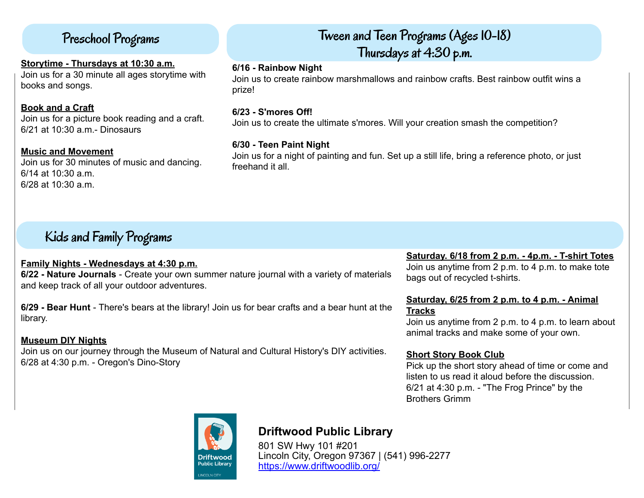## Preschool Programs

#### **Storytime - Thursdays at 10:30 a.m.**

Join us for a 30 minute all ages storytime with books and songs.

## **Book and a Craft**

Join us for a picture book reading and a craft. 6/21 at 10:30 a.m.- Dinosaurs

#### **Music and Movement**

Join us for 30 minutes of music and dancing. 6/14 at 10:30 a.m. 6/28 at 10:30 a.m.

# Tween and Teen Programs (Ages 10-18) Thursdays at 4:30 p.m.

#### **6/16 - Rainbow Night**

Join us to create rainbow marshmallows and rainbow crafts. Best rainbow outfit wins a prize!

## **6/23 - S'mores Off!**

Join us to create the ultimate s'mores. Will your creation smash the competition?

## **6/30 - Teen Paint Night**

Join us for a night of painting and fun. Set up a still life, bring a reference photo, or just freehand it all.

# Kids and Family Programs

## **Family Nights - Wednesdays at 4:30 p.m.**

**6/22 - Nature Journals** - Create your own summer nature journal with a variety of materials and keep track of all your outdoor adventures.

**6/29 - Bear Hunt** - There's bears at the library! Join us for bear crafts and a bear hunt at the library.

## **Museum DIY Nights**

Join us on our journey through the Museum of Natural and Cultural History's DIY activities. 6/28 at 4:30 p.m. - Oregon's Dino-Story

## **Saturday. 6/18 from 2 p.m. - 4p.m. - T-shirt Totes**

Join us anytime from 2 p.m. to 4 p.m. to make tote bags out of recycled t-shirts.

## **Saturday, 6/25 from 2 p.m. to 4 p.m. - Animal Tracks**

Join us anytime from 2 p.m. to 4 p.m. to learn about animal tracks and make some of your own.

## **Short Story Book Club**

Pick up the short story ahead of time or come and listen to us read it aloud before the discussion. 6/21 at 4:30 p.m. - "The Frog Prince" by the Brothers Grimm



## **[D](https://libraryaware.com/2JGZBS)riftwood Public Library**

[8](https://libraryaware.com/2JGZBS)01 SW Hwy 101 #201 Lincoln City, Oregon 97367 | (541) 996-2277 [https://www.driftwoodlib.org/](https://libraryaware.com/2JGZBS)